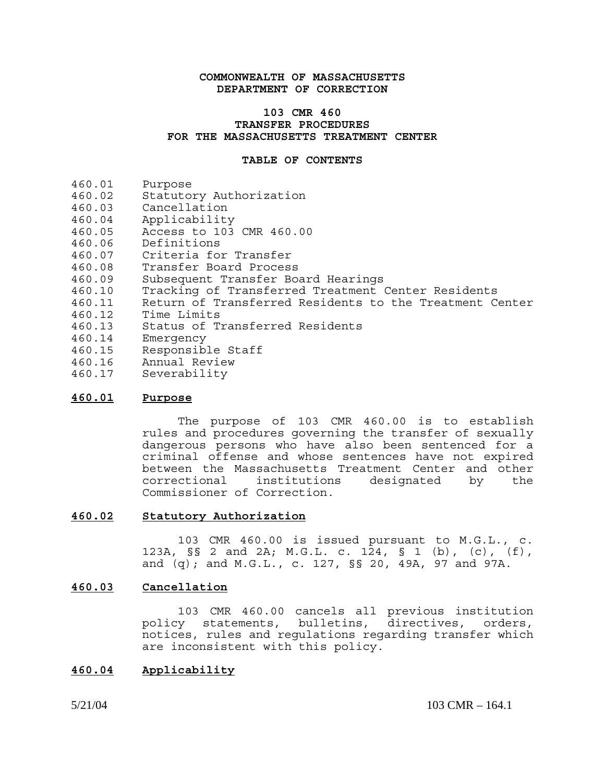### **COMMONWEALTH OF MASSACHUSETTS DEPARTMENT OF CORRECTION**

### **103 CMR 460 TRANSFER PROCEDURES FOR THE MASSACHUSETTS TREATMENT CENTER**

#### **TABLE OF CONTENTS**

- 460.01 Purpose
- 460.02 Statutory Authorization
- 460.03 Cancellation
- 460.04 Applicability
- 460.05 Access to 103 CMR 460.00
- 460.06 Definitions
- 460.07 Criteria for Transfer
- 460.08 Transfer Board Process
- 460.09 Subsequent Transfer Board Hearings
- 460.10 Tracking of Transferred Treatment Center Residents
- Return of Transferred Residents to the Treatment Center
- 460.12 Time Limits
- 460.13 Status of Transferred Residents
- 460.14 Emergency
- 460.15 Responsible Staff
- 460.16 Annual Review
- 460.17 Severability

### **460.01 Purpose**

The purpose of 103 CMR 460.00 is to establish rules and procedures governing the transfer of sexually dangerous persons who have also been sentenced for a criminal offense and whose sentences have not expired between the Massachusetts Treatment Center and other<br>correctional institutions designated by the institutions designated by the Commissioner of Correction.

### **460.02 Statutory Authorization**

103 CMR 460.00 is issued pursuant to M.G.L., c. 123A, §§ 2 and 2A; M.G.L. c. 124, § 1 (b), (c), (f), and (q); and M.G.L., c. 127, §§ 20, 49A, 97 and 97A.

### **460.03 Cancellation**

103 CMR 460.00 cancels all previous institution policy statements, bulletins, directives, orders, notices, rules and regulations regarding transfer which are inconsistent with this policy.

#### **460.04 Applicability**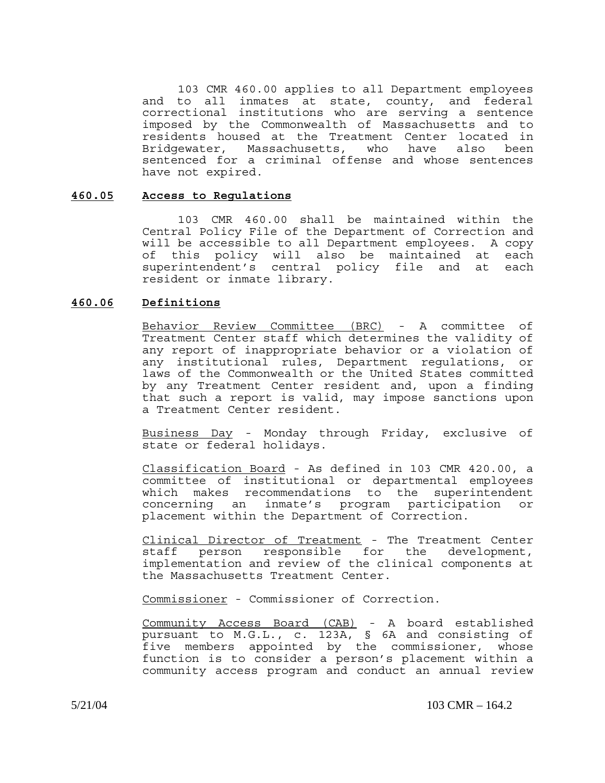103 CMR 460.00 applies to all Department employees and to all inmates at state, county, and federal correctional institutions who are serving a sentence imposed by the Commonwealth of Massachusetts and to residents housed at the Treatment Center located in Bridgewater, Massachusetts, who have also been sentenced for a criminal offense and whose sentences have not expired.

### **460.05 Access to Regulations**

103 CMR 460.00 shall be maintained within the Central Policy File of the Department of Correction and will be accessible to all Department employees. A copy of this policy will also be maintained at each superintendent's central policy file and at each resident or inmate library.

### **460.06 Definitions**

Behavior Review Committee (BRC) - A committee of Treatment Center staff which determines the validity of any report of inappropriate behavior or a violation of any institutional rules, Department regulations, or laws of the Commonwealth or the United States committed by any Treatment Center resident and, upon a finding that such a report is valid, may impose sanctions upon a Treatment Center resident.

Business Day - Monday through Friday, exclusive of state or federal holidays.

Classification Board - As defined in 103 CMR 420.00, a committee of institutional or departmental employees which makes recommendations to the superintendent concerning an inmate's program participation or placement within the Department of Correction.

Clinical Director of Treatment - The Treatment Center staff person responsible for the development, implementation and review of the clinical components at the Massachusetts Treatment Center.

Commissioner - Commissioner of Correction.

Community Access Board (CAB) - A board established pursuant to M.G.L., c. 123A, § 6A and consisting of five members appointed by the commissioner, whose function is to consider a person's placement within a community access program and conduct an annual review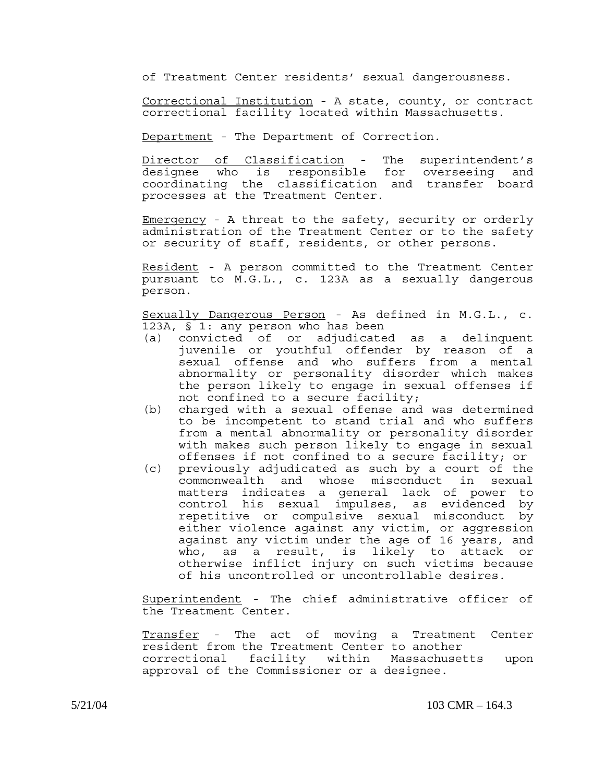of Treatment Center residents' sexual dangerousness.

Correctional Institution - A state, county, or contract correctional facility located within Massachusetts.

Department - The Department of Correction.

Director of Classification - The superintendent's designee who is responsible for overseeing and coordinating the classification and transfer board processes at the Treatment Center.

Emergency - A threat to the safety, security or orderly administration of the Treatment Center or to the safety or security of staff, residents, or other persons.

Resident - A person committed to the Treatment Center pursuant to M.G.L., c. 123A as a sexually dangerous person.

Sexually Dangerous Person - As defined in M.G.L., c. 123A, § 1: any person who has been

- (a) convicted of or adjudicated as a delinquent juvenile or youthful offender by reason of a sexual offense and who suffers from a mental abnormality or personality disorder which makes the person likely to engage in sexual offenses if not confined to a secure facility;
- (b) charged with a sexual offense and was determined to be incompetent to stand trial and who suffers from a mental abnormality or personality disorder with makes such person likely to engage in sexual offenses if not confined to a secure facility; or
- (c) previously adjudicated as such by a court of the commonwealth and whose misconduct in sexual matters indicates a general lack of power to control his sexual impulses, as evidenced by repetitive or compulsive sexual misconduct by either violence against any victim, or aggression against any victim under the age of 16 years, and who, as a result, is likely to attack or otherwise inflict injury on such victims because of his uncontrolled or uncontrollable desires.

Superintendent - The chief administrative officer of the Treatment Center.

Transfer - The act of moving a Treatment Center resident from the Treatment Center to another<br>correctional facility within Massachuse facility within Massachusetts upon approval of the Commissioner or a designee.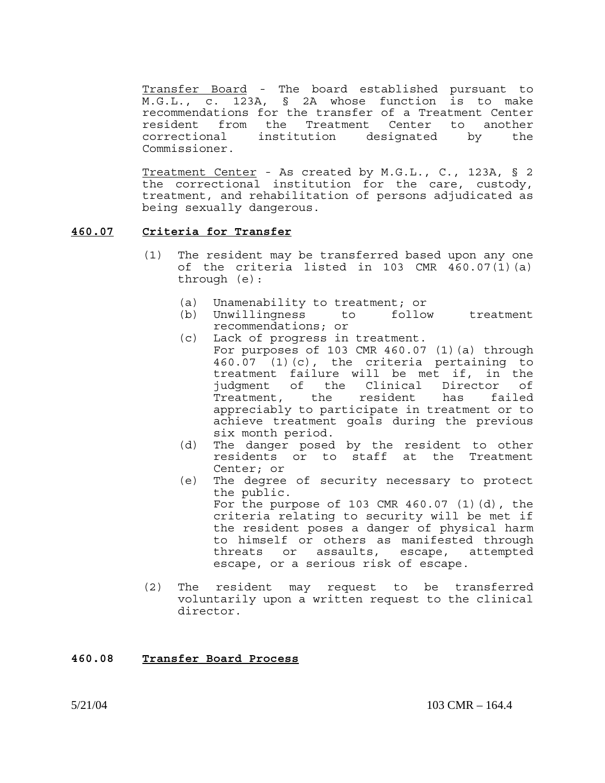Transfer Board - The board established pursuant to M.G.L., c. 123A, § 2A whose function is to make recommendations for the transfer of a Treatment Center resident from the Treatment Center to another correctional institution designated by the Commissioner.

Treatment Center - As created by M.G.L., C., 123A, § 2 the correctional institution for the care, custody, treatment, and rehabilitation of persons adjudicated as being sexually dangerous.

### **460.07 Criteria for Transfer**

- (1) The resident may be transferred based upon any one of the criteria listed in 103 CMR 460.07(1)(a) through (e):
	- (a) Unamenability to treatment; or
	- (b) Unwillingness to follow treatment recommendations; or
	- (c) Lack of progress in treatment. For purposes of 103 CMR 460.07 (1)(a) through 460.07 (1)(c), the criteria pertaining to treatment failure will be met if, in the judgment of the Clinical Director of Treatment, the resident has failed appreciably to participate in treatment or to achieve treatment goals during the previous six month period.
	- (d) The danger posed by the resident to other residents or to staff at the Treatment Center; or
	- (e) The degree of security necessary to protect the public. For the purpose of 103 CMR 460.07 (1)(d), the criteria relating to security will be met if the resident poses a danger of physical harm to himself or others as manifested through threats or assaults, escape, attempted escape, or a serious risk of escape.
- (2) The resident may request to be transferred voluntarily upon a written request to the clinical director.

## **460.08 Transfer Board Process**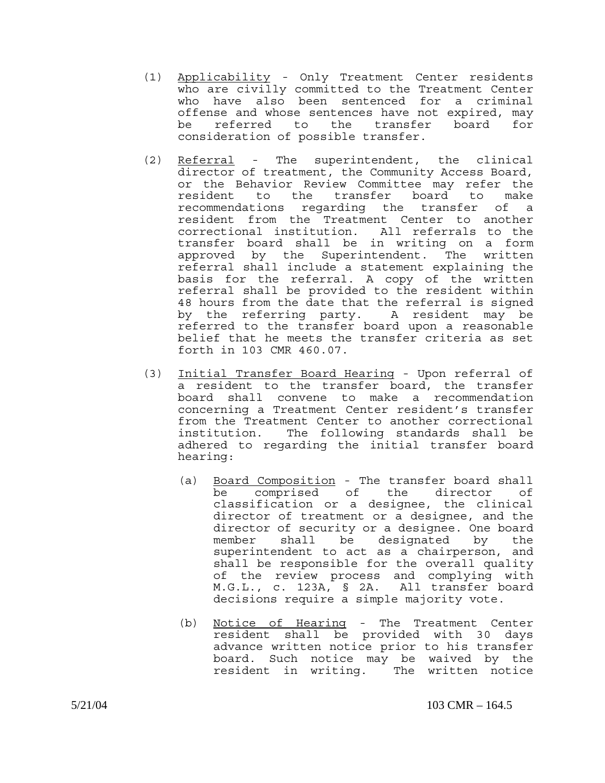- (1) Applicability Only Treatment Center residents who are civilly committed to the Treatment Center who have also been sentenced for a criminal offense and whose sentences have not expired, may be referred to the transfer board for consideration of possible transfer.
- (2) Referral The superintendent, the clinical director of treatment, the Community Access Board, or the Behavior Review Committee may refer the resident to the transfer board to make recommendations regarding the transfer of a resident from the Treatment Center to another correctional institution. All referrals to the transfer board shall be in writing on a form approved by the Superintendent. The written referral shall include a statement explaining the basis for the referral. A copy of the written referral shall be provided to the resident within 48 hours from the date that the referral is signed by the referring party. A resident may be referred to the transfer board upon a reasonable belief that he meets the transfer criteria as set forth in 103 CMR 460.07.
- (3) Initial Transfer Board Hearing Upon referral of a resident to the transfer board, the transfer board shall convene to make a recommendation concerning a Treatment Center resident's transfer from the Treatment Center to another correctional institution. The following standards shall be adhered to regarding the initial transfer board hearing:
	- (a) Board Composition The transfer board shall be comprised of the director of classification or a designee, the clinical director of treatment or a designee, and the director of security or a designee. One board member shall be designated by the superintendent to act as a chairperson, and shall be responsible for the overall quality of the review process and complying with M.G.L., c. 123A, § 2A. All transfer board decisions require a simple majority vote.
	- (b) Notice of Hearing The Treatment Center resident shall be provided with 30 days advance written notice prior to his transfer board. Such notice may be waived by the resident in writing. The written notice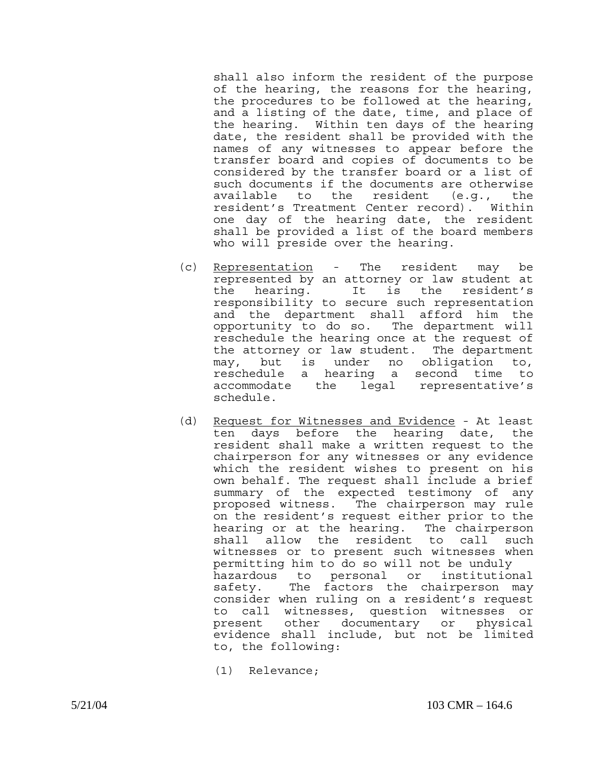shall also inform the resident of the purpose of the hearing, the reasons for the hearing, the procedures to be followed at the hearing, and a listing of the date, time, and place of the hearing. Within ten days of the hearing date, the resident shall be provided with the names of any witnesses to appear before the transfer board and copies of documents to be considered by the transfer board or a list of such documents if the documents are otherwise available to the resident (e.g., the resident's Treatment Center record). Within one day of the hearing date, the resident shall be provided a list of the board members who will preside over the hearing.

- (c) Representation The resident may be represented by an attorney or law student at the hearing. It is the resident's responsibility to secure such representation and the department shall afford him the opportunity to do so. The department will reschedule the hearing once at the request of the attorney or law student. The department may, but is under no obligation to, reschedule a hearing a second time to accommodate the legal representative's schedule.
- (d) Request for Witnesses and Evidence At least ten days before the hearing date, the resident shall make a written request to the chairperson for any witnesses or any evidence which the resident wishes to present on his own behalf. The request shall include a brief summary of the expected testimony of any proposed witness. The chairperson may rule on the resident's request either prior to the hearing or at the hearing. The chairperson shall allow the resident to call such witnesses or to present such witnesses when permitting him to do so will not be unduly hazardous to personal or institutional safety. The factors the chairperson may consider when ruling on a resident's request to call witnesses, question witnesses or present other documentary or physical evidence shall include, but not be limited to, the following:
	- (1) Relevance;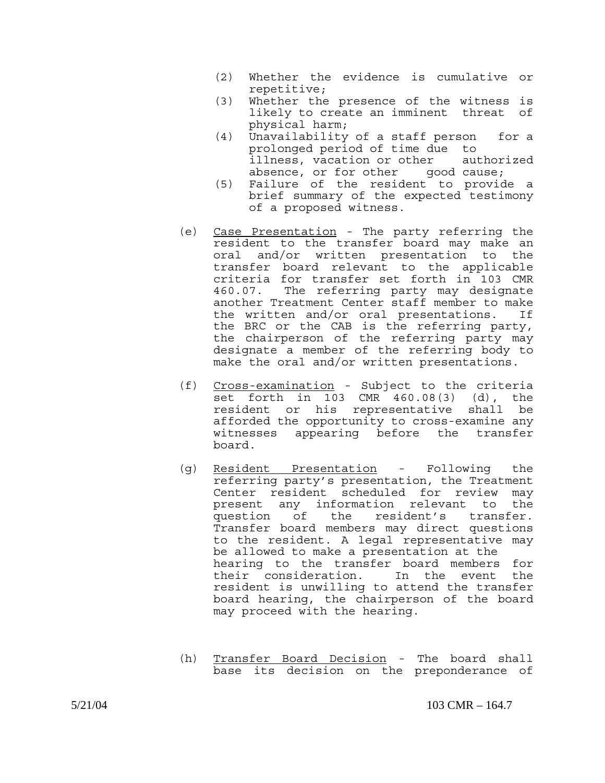- (2) Whether the evidence is cumulative or repetitive;
- (3) Whether the presence of the witness is likely to create an imminent threat of physical harm;
- (4) Unavailability of a staff person for a prolonged period of time due to illness, vacation or other authorized absence, or for other good cause;
- (5) Failure of the resident to provide a brief summary of the expected testimony of a proposed witness.
- (e) Case Presentation The party referring the resident to the transfer board may make an oral and/or written presentation to the transfer board relevant to the applicable criteria for transfer set forth in 103 CMR 460.07. The referring party may designate another Treatment Center staff member to make the written and/or oral presentations. If the BRC or the CAB is the referring party, the chairperson of the referring party may designate a member of the referring body to make the oral and/or written presentations.
- (f) Cross-examination Subject to the criteria set forth in 103 CMR 460.08(3) (d), the resident or his representative shall be afforded the opportunity to cross-examine any witnesses appearing before the transfer board.
- (g) Resident Presentation Following the referring party's presentation, the Treatment Center resident scheduled for review may present any information relevant to the question of the resident's transfer. Transfer board members may direct questions to the resident. A legal representative may be allowed to make a presentation at the hearing to the transfer board members for their consideration. In the event the resident is unwilling to attend the transfer board hearing, the chairperson of the board may proceed with the hearing.
- (h) Transfer Board Decision The board shall base its decision on the preponderance of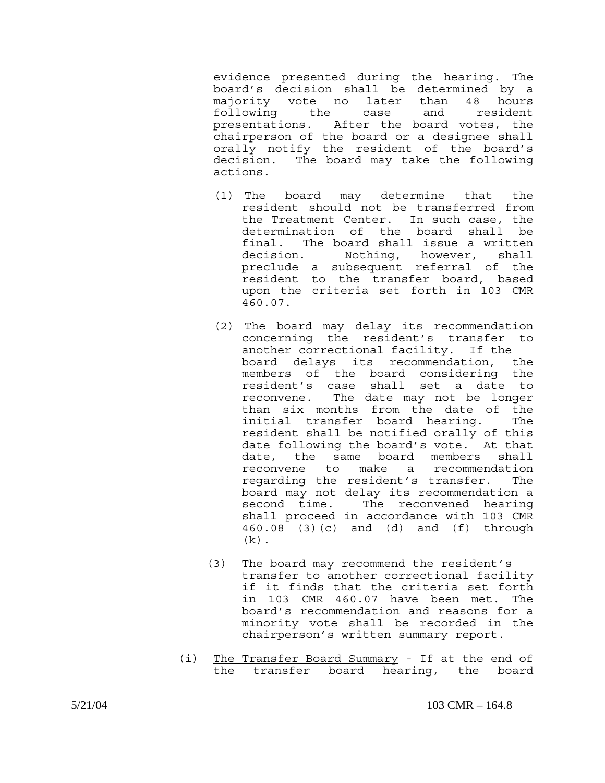evidence presented during the hearing. The board's decision shall be determined by a majority vote no later than 48 hours following the case and resident presentations. After the board votes, the chairperson of the board or a designee shall orally notify the resident of the board's decision. The board may take the following actions.

- (1) The board may determine that the resident should not be transferred from the Treatment Center. In such case, the determination of the board shall be final. The board shall issue a written decision. Nothing, however, shall preclude a subsequent referral of the resident to the transfer board, based upon the criteria set forth in 103 CMR 460.07.
- (2) The board may delay its recommendation concerning the resident's transfer to another correctional facility. If the board delays its recommendation, the members of the board considering the resident's case shall set a date to reconvene. The date may not be longer than six months from the date of the initial transfer board hearing. The resident shall be notified orally of this date following the board's vote. At that date, the same board members shall reconvene to make a recommendation regarding the resident's transfer. The board may not delay its recommendation a second time. The reconvened hearing shall proceed in accordance with 103 CMR 460.08 (3)(c) and (d) and (f) through  $(k)$ .
- (3) The board may recommend the resident's transfer to another correctional facility if it finds that the criteria set forth in 103 CMR 460.07 have been met. The board's recommendation and reasons for a minority vote shall be recorded in the chairperson's written summary report.
- (i) The Transfer Board Summary If at the end of the transfer board hearing, the board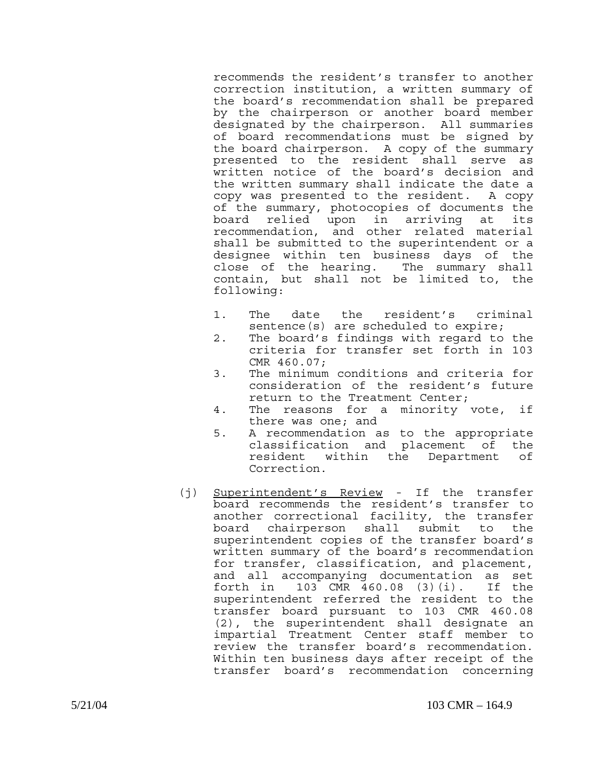recommends the resident's transfer to another correction institution, a written summary of the board's recommendation shall be prepared by the chairperson or another board member designated by the chairperson. All summaries of board recommendations must be signed by the board chairperson. A copy of the summary presented to the resident shall serve as written notice of the board's decision and the written summary shall indicate the date a copy was presented to the resident. A copy of the summary, photocopies of documents the board relied upon in arriving at its recommendation, and other related material shall be submitted to the superintendent or a designee within ten business days of the close of the hearing. The summary shall contain, but shall not be limited to, the following:

- 1. The date the resident's criminal sentence(s) are scheduled to expire;
- 2. The board's findings with regard to the criteria for transfer set forth in 103 CMR 460.07;
- 3. The minimum conditions and criteria for consideration of the resident's future return to the Treatment Center;
- 4. The reasons for a minority vote, if there was one; and
- 5. A recommendation as to the appropriate classification and placement of the resident within the Department of Correction.
- (j) Superintendent's Review If the transfer board recommends the resident's transfer to another correctional facility, the transfer board chairperson shall submit to the superintendent copies of the transfer board's written summary of the board's recommendation for transfer, classification, and placement, and all accompanying documentation as set forth in 103 CMR 460.08 (3)(i). If the superintendent referred the resident to the transfer board pursuant to 103 CMR 460.08 (2), the superintendent shall designate an impartial Treatment Center staff member to review the transfer board's recommendation. Within ten business days after receipt of the transfer board's recommendation concerning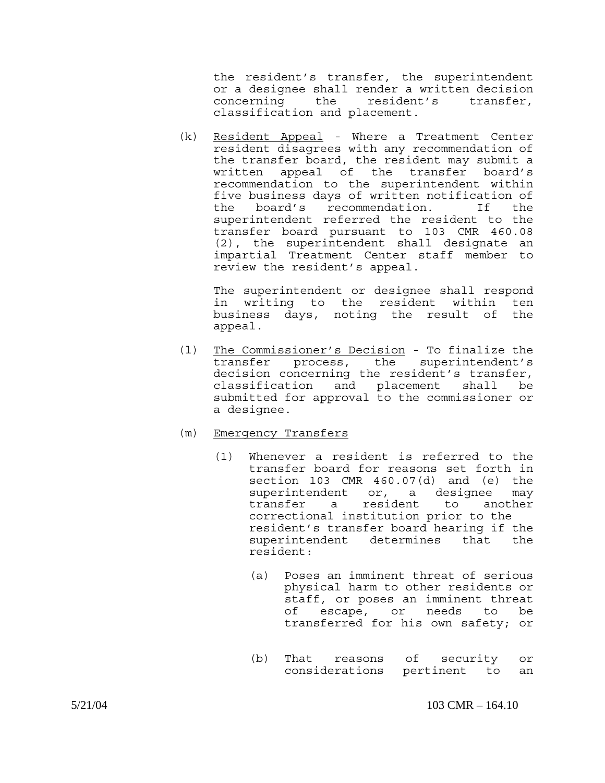the resident's transfer, the superintendent or a designee shall render a written decision concerning the resident's transfer, classification and placement.

(k) Resident Appeal - Where a Treatment Center resident disagrees with any recommendation of the transfer board, the resident may submit a written appeal of the transfer board's recommendation to the superintendent within five business days of written notification of the board's recommendation. If the superintendent referred the resident to the transfer board pursuant to 103 CMR 460.08 (2), the superintendent shall designate an impartial Treatment Center staff member to review the resident's appeal.

 The superintendent or designee shall respond in writing to the resident within ten business days, noting the result of the appeal.

- (l) The Commissioner's Decision To finalize the transfer process, the superintendent's decision concerning the resident's transfer, classification and placement shall be submitted for approval to the commissioner or a designee.
- (m) Emergency Transfers
	- (1) Whenever a resident is referred to the transfer board for reasons set forth in section 103 CMR 460.07(d) and (e) the superintendent or, a designee may transfer a resident to another correctional institution prior to the resident's transfer board hearing if the superintendent determines that the resident:
		- (a) Poses an imminent threat of serious physical harm to other residents or staff, or poses an imminent threat of escape, or needs to be transferred for his own safety; or
		- (b) That reasons of security or considerations pertinent to an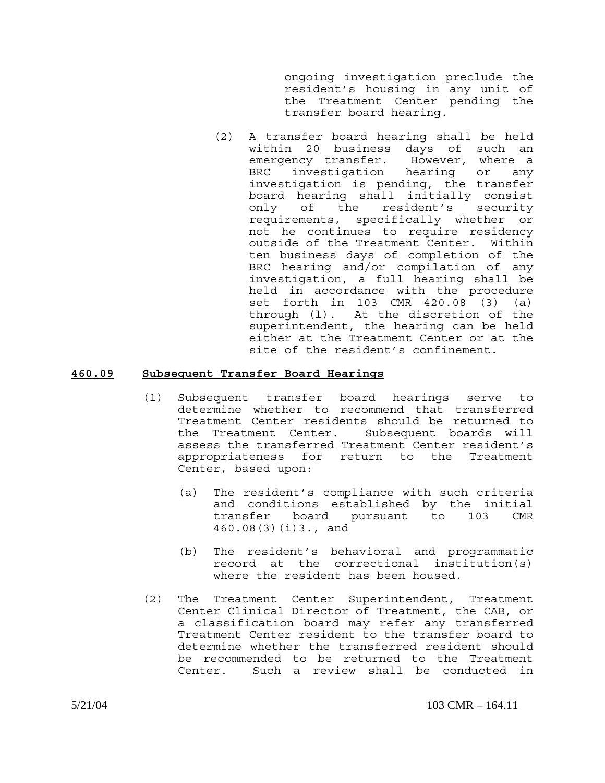ongoing investigation preclude the resident's housing in any unit of the Treatment Center pending the transfer board hearing.

(2) A transfer board hearing shall be held within 20 business days of such an emergency transfer. However, where a BRC investigation hearing or any investigation is pending, the transfer board hearing shall initially consist only of the resident's security requirements, specifically whether or not he continues to require residency outside of the Treatment Center. Within ten business days of completion of the BRC hearing and/or compilation of any investigation, a full hearing shall be held in accordance with the procedure set forth in 103 CMR 420.08 (3) (a) through (l). At the discretion of the superintendent, the hearing can be held either at the Treatment Center or at the site of the resident's confinement.

# **460.09 Subsequent Transfer Board Hearings**

- (1) Subsequent transfer board hearings serve to determine whether to recommend that transferred Treatment Center residents should be returned to the Treatment Center. Subsequent boards will assess the transferred Treatment Center resident's appropriateness for return to the Treatment Center, based upon:
	- (a) The resident's compliance with such criteria and conditions established by the initial transfer board pursuant to 103 CMR 460.08(3)(i)3., and
	- (b) The resident's behavioral and programmatic record at the correctional institution(s) where the resident has been housed.
- (2) The Treatment Center Superintendent, Treatment Center Clinical Director of Treatment, the CAB, or a classification board may refer any transferred Treatment Center resident to the transfer board to determine whether the transferred resident should be recommended to be returned to the Treatment Center. Such a review shall be conducted in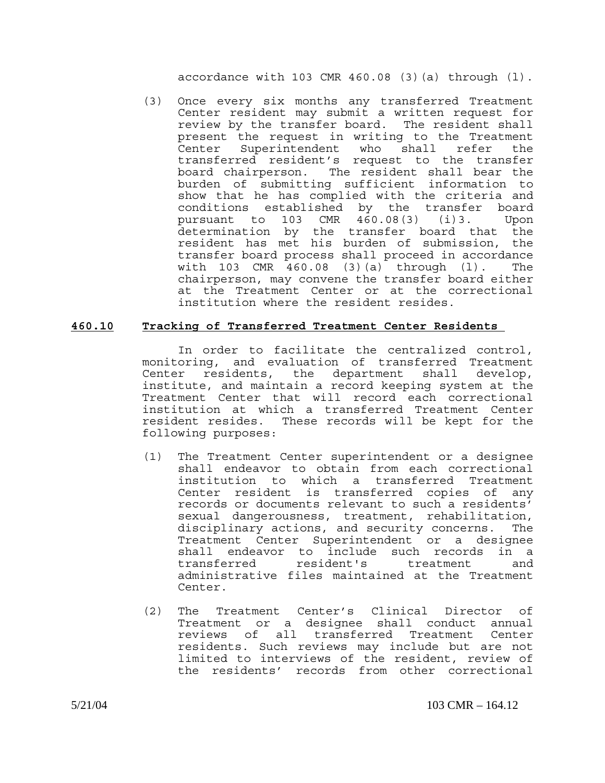accordance with  $103$  CMR  $460.08$  (3)(a) through (1).

(3) Once every six months any transferred Treatment Center resident may submit a written request for review by the transfer board. The resident shall present the request in writing to the Treatment Center Superintendent who shall refer the transferred resident's request to the transfer board chairperson. The resident shall bear the burden of submitting sufficient information to show that he has complied with the criteria and conditions established by the transfer board pursuant to 103 CMR 460.08(3) (i)3. Upon determination by the transfer board that the resident has met his burden of submission, the transfer board process shall proceed in accordance with 103 CMR 460.08 (3)(a) through (l). The chairperson, may convene the transfer board either at the Treatment Center or at the correctional institution where the resident resides.

## **460.10 Tracking of Transferred Treatment Center Residents**

In order to facilitate the centralized control, monitoring, and evaluation of transferred Treatment Center residents, the department shall develop, institute, and maintain a record keeping system at the Treatment Center that will record each correctional institution at which a transferred Treatment Center resident resides. These records will be kept for the following purposes:

- (1) The Treatment Center superintendent or a designee shall endeavor to obtain from each correctional institution to which a transferred Treatment Center resident is transferred copies of any records or documents relevant to such a residents' sexual dangerousness, treatment, rehabilitation, disciplinary actions, and security concerns. The Treatment Center Superintendent or a designee shall endeavor to include such records in a transferred resident's treatment and administrative files maintained at the Treatment Center.
- (2) The Treatment Center's Clinical Director of Treatment or a designee shall conduct annual reviews of all transferred Treatment Center residents. Such reviews may include but are not limited to interviews of the resident, review of the residents' records from other correctional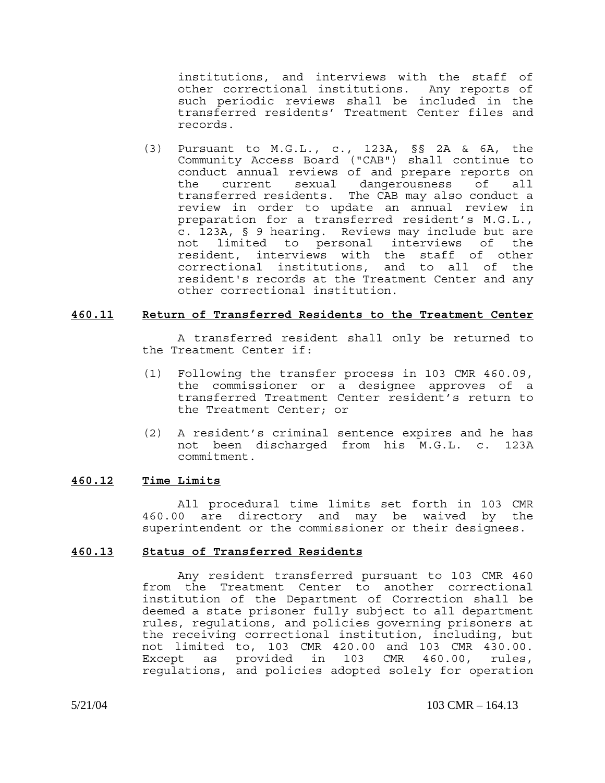institutions, and interviews with the staff of other correctional institutions. Any reports of such periodic reviews shall be included in the transferred residents' Treatment Center files and records.

(3) Pursuant to M.G.L., c., 123A, §§ 2A & 6A, the Community Access Board ("CAB") shall continue to conduct annual reviews of and prepare reports on the current sexual dangerousness of all transferred residents. The CAB may also conduct a review in order to update an annual review in preparation for a transferred resident's M.G.L., c. 123A, § 9 hearing. Reviews may include but are not limited to personal interviews of the resident, interviews with the staff of other correctional institutions, and to all of the resident's records at the Treatment Center and any other correctional institution.

### **460.11 Return of Transferred Residents to the Treatment Center**

A transferred resident shall only be returned to the Treatment Center if:

- (1) Following the transfer process in 103 CMR 460.09, the commissioner or a designee approves of a transferred Treatment Center resident's return to the Treatment Center; or
- (2) A resident's criminal sentence expires and he has not been discharged from his M.G.L. c. 123A commitment.

# **460.12 Time Limits**

All procedural time limits set forth in 103 CMR 460.00 are directory and may be waived by the superintendent or the commissioner or their designees.

## **460.13 Status of Transferred Residents**

Any resident transferred pursuant to 103 CMR 460 from the Treatment Center to another correctional institution of the Department of Correction shall be deemed a state prisoner fully subject to all department rules, regulations, and policies governing prisoners at the receiving correctional institution, including, but not limited to, 103 CMR 420.00 and 103 CMR 430.00. Except as provided in 103 CMR 460.00, rules, regulations, and policies adopted solely for operation